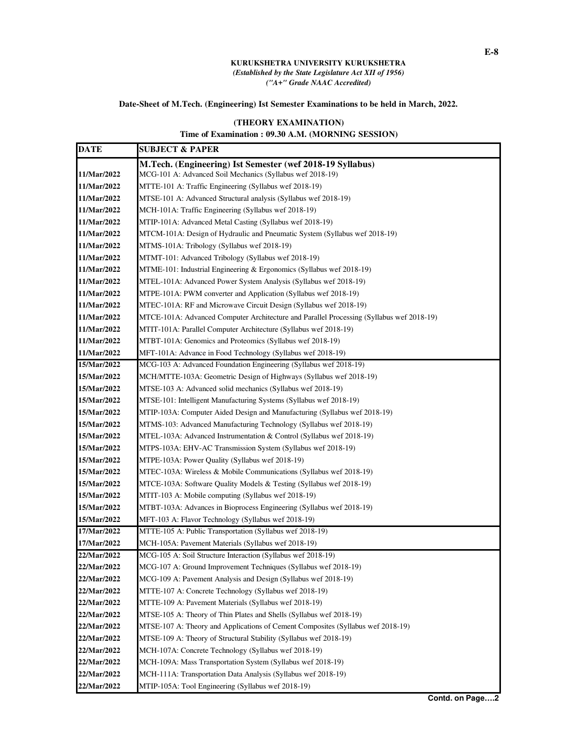## **KURUKSHETRA UNIVERSITY KURUKSHETRA**

*(Established by the State Legislature Act XII of 1956) ("A+" Grade NAAC Accredited)* 

## **Date-Sheet of M.Tech. (Engineering) Ist Semester Examinations to be held in March, 2022.**

## **(THEORY EXAMINATION)**

**Time of Examination : 09.30 A.M. (MORNING SESSION)**

| <b>DATE</b> | <b>SUBJECT &amp; PAPER</b>                                                               |
|-------------|------------------------------------------------------------------------------------------|
|             | M.Tech. (Engineering) Ist Semester (wef 2018-19 Syllabus)                                |
| 11/Mar/2022 | MCG-101 A: Advanced Soil Mechanics (Syllabus wef 2018-19)                                |
| 11/Mar/2022 | MTTE-101 A: Traffic Engineering (Syllabus wef 2018-19)                                   |
| 11/Mar/2022 | MTSE-101 A: Advanced Structural analysis (Syllabus wef 2018-19)                          |
| 11/Mar/2022 | MCH-101A: Traffic Engineering (Syllabus wef 2018-19)                                     |
| 11/Mar/2022 | MTIP-101A: Advanced Metal Casting (Syllabus wef 2018-19)                                 |
| 11/Mar/2022 | MTCM-101A: Design of Hydraulic and Pneumatic System (Syllabus wef 2018-19)               |
| 11/Mar/2022 | MTMS-101A: Tribology (Syllabus wef 2018-19)                                              |
| 11/Mar/2022 | MTMT-101: Advanced Tribology (Syllabus wef 2018-19)                                      |
| 11/Mar/2022 | MTME-101: Industrial Engineering & Ergonomics (Syllabus wef 2018-19)                     |
| 11/Mar/2022 | MTEL-101A: Advanced Power System Analysis (Syllabus wef 2018-19)                         |
| 11/Mar/2022 | MTPE-101A: PWM converter and Application (Syllabus wef 2018-19)                          |
| 11/Mar/2022 | MTEC-101A: RF and Microwave Circuit Design (Syllabus wef 2018-19)                        |
| 11/Mar/2022 | MTCE-101A: Advanced Computer Architecture and Parallel Processing (Syllabus wef 2018-19) |
| 11/Mar/2022 | MTIT-101A: Parallel Computer Architecture (Syllabus wef 2018-19)                         |
| 11/Mar/2022 | MTBT-101A: Genomics and Proteomics (Syllabus wef 2018-19)                                |
| 11/Mar/2022 | MFT-101A: Advance in Food Technology (Syllabus wef 2018-19)                              |
| 15/Mar/2022 | MCG-103 A: Advanced Foundation Engineering (Syllabus wef 2018-19)                        |
| 15/Mar/2022 | MCH/MTTE-103A: Geometric Design of Highways (Syllabus wef 2018-19)                       |
| 15/Mar/2022 | MTSE-103 A: Advanced solid mechanics (Syllabus wef 2018-19)                              |
| 15/Mar/2022 | MTSE-101: Intelligent Manufacturing Systems (Syllabus wef 2018-19)                       |
| 15/Mar/2022 | MTIP-103A: Computer Aided Design and Manufacturing (Syllabus wef 2018-19)                |
| 15/Mar/2022 | MTMS-103: Advanced Manufacturing Technology (Syllabus wef 2018-19)                       |
| 15/Mar/2022 | MTEL-103A: Advanced Instrumentation & Control (Syllabus wef 2018-19)                     |
| 15/Mar/2022 | MTPS-103A: EHV-AC Transmission System (Syllabus wef 2018-19)                             |
| 15/Mar/2022 | MTPE-103A: Power Quality (Syllabus wef 2018-19)                                          |
| 15/Mar/2022 | MTEC-103A: Wireless & Mobile Communications (Syllabus wef 2018-19)                       |
| 15/Mar/2022 | MTCE-103A: Software Quality Models & Testing (Syllabus wef 2018-19)                      |
| 15/Mar/2022 | MTIT-103 A: Mobile computing (Syllabus wef 2018-19)                                      |
| 15/Mar/2022 | MTBT-103A: Advances in Bioprocess Engineering (Syllabus wef 2018-19)                     |
| 15/Mar/2022 | MFT-103 A: Flavor Technology (Syllabus wef 2018-19)                                      |
| 17/Mar/2022 | MTTE-105 A: Public Transportation (Syllabus wef 2018-19)                                 |
| 17/Mar/2022 | MCH-105A: Pavement Materials (Syllabus wef 2018-19)                                      |
| 22/Mar/2022 | MCG-105 A: Soil Structure Interaction (Syllabus wef 2018-19)                             |
| 22/Mar/2022 | MCG-107 A: Ground Improvement Techniques (Syllabus wef 2018-19)                          |
| 22/Mar/2022 | MCG-109 A: Pavement Analysis and Design (Syllabus wef 2018-19)                           |
| 22/Mar/2022 | MTTE-107 A: Concrete Technology (Syllabus wef 2018-19)                                   |
| 22/Mar/2022 | MTTE-109 A: Pavement Materials (Syllabus wef 2018-19)                                    |
| 22/Mar/2022 | MTSE-105 A: Theory of Thin Plates and Shells (Syllabus wef 2018-19)                      |
| 22/Mar/2022 | MTSE-107 A: Theory and Applications of Cement Composites (Syllabus wef 2018-19)          |
| 22/Mar/2022 | MTSE-109 A: Theory of Structural Stability (Syllabus wef 2018-19)                        |
| 22/Mar/2022 | MCH-107A: Concrete Technology (Syllabus wef 2018-19)                                     |
| 22/Mar/2022 | MCH-109A: Mass Transportation System (Syllabus wef 2018-19)                              |
| 22/Mar/2022 | MCH-111A: Transportation Data Analysis (Syllabus wef 2018-19)                            |
| 22/Mar/2022 | MTIP-105A: Tool Engineering (Syllabus wef 2018-19)                                       |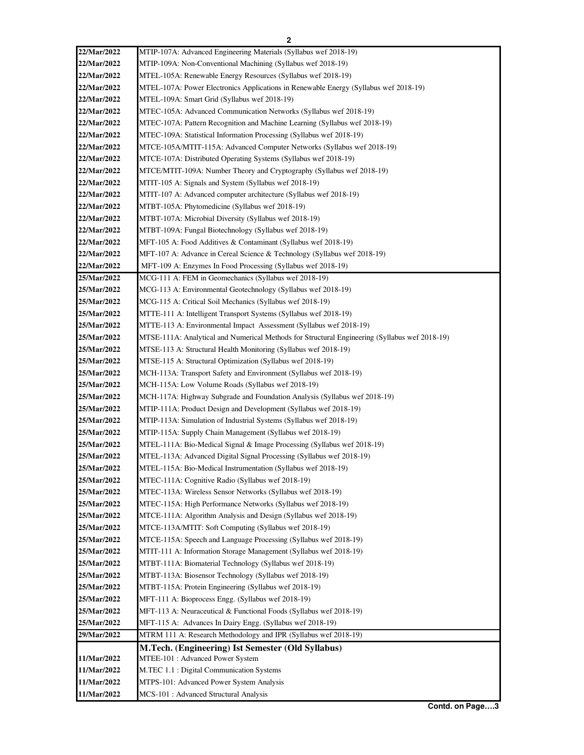| 22/Mar/2022 | MTIP-107A: Advanced Engineering Materials (Syllabus wef 2018-19)                              |
|-------------|-----------------------------------------------------------------------------------------------|
| 22/Mar/2022 | MTIP-109A: Non-Conventional Machining (Syllabus wef 2018-19)                                  |
| 22/Mar/2022 | MTEL-105A: Renewable Energy Resources (Syllabus wef 2018-19)                                  |
| 22/Mar/2022 | MTEL-107A: Power Electronics Applications in Renewable Energy (Syllabus wef 2018-19)          |
| 22/Mar/2022 | MTEL-109A: Smart Grid (Syllabus wef 2018-19)                                                  |
| 22/Mar/2022 | MTEC-105A: Advanced Communication Networks (Syllabus wef 2018-19)                             |
| 22/Mar/2022 | MTEC-107A: Pattern Recognition and Machine Learning (Syllabus wef 2018-19)                    |
| 22/Mar/2022 | MTEC-109A: Statistical Information Processing (Syllabus wef 2018-19)                          |
| 22/Mar/2022 | MTCE-105A/MTIT-115A: Advanced Computer Networks (Syllabus wef 2018-19)                        |
| 22/Mar/2022 | MTCE-107A: Distributed Operating Systems (Syllabus wef 2018-19)                               |
| 22/Mar/2022 | MTCE/MTIT-109A: Number Theory and Cryptography (Syllabus wef 2018-19)                         |
| 22/Mar/2022 | MTIT-105 A: Signals and System (Syllabus wef 2018-19)                                         |
| 22/Mar/2022 | MTIT-107 A: Advanced computer architecture (Syllabus wef 2018-19)                             |
| 22/Mar/2022 | MTBT-105A: Phytomedicine (Syllabus wef 2018-19)                                               |
| 22/Mar/2022 | MTBT-107A: Microbial Diversity (Syllabus wef 2018-19)                                         |
| 22/Mar/2022 | MTBT-109A: Fungal Biotechnology (Syllabus wef 2018-19)                                        |
| 22/Mar/2022 | MFT-105 A: Food Additives & Contaminant (Syllabus wef 2018-19)                                |
| 22/Mar/2022 | MFT-107 A: Advance in Cereal Science & Technology (Syllabus wef 2018-19)                      |
| 22/Mar/2022 | MFT-109 A: Enzymes In Food Processing (Syllabus wef 2018-19)                                  |
| 25/Mar/2022 | MCG-111 A: FEM in Geomechanics (Syllabus wef 2018-19)                                         |
| 25/Mar/2022 | MCG-113 A: Environmental Geotechnology (Syllabus wef 2018-19)                                 |
| 25/Mar/2022 | MCG-115 A: Critical Soil Mechanics (Syllabus wef 2018-19)                                     |
| 25/Mar/2022 | MTTE-111 A: Intelligent Transport Systems (Syllabus wef 2018-19)                              |
| 25/Mar/2022 | MTTE-113 A: Environmental Impact Assessment (Syllabus wef 2018-19)                            |
| 25/Mar/2022 | MTSE-111A: Analytical and Numerical Methods for Structural Engineering (Syllabus wef 2018-19) |
| 25/Mar/2022 | MTSE-113 A: Structural Health Monitoring (Syllabus wef 2018-19)                               |
| 25/Mar/2022 | MTSE-115 A: Structural Optimization (Syllabus wef 2018-19)                                    |
| 25/Mar/2022 | MCH-113A: Transport Safety and Environment (Syllabus wef 2018-19)                             |
| 25/Mar/2022 | MCH-115A: Low Volume Roads (Syllabus wef 2018-19)                                             |
| 25/Mar/2022 | MCH-117A: Highway Subgrade and Foundation Analysis (Syllabus wef 2018-19)                     |
| 25/Mar/2022 | MTIP-111A: Product Design and Development (Syllabus wef 2018-19)                              |
| 25/Mar/2022 | MTIP-113A: Simulation of Industrial Systems (Syllabus wef 2018-19)                            |
| 25/Mar/2022 | MTIP-115A: Supply Chain Management (Syllabus wef 2018-19)                                     |
| 25/Mar/2022 | MTEL-111A: Bio-Medical Signal & Image Processing (Syllabus wef 2018-19)                       |
| 25/Mar/2022 | MTEL-113A: Advanced Digital Signal Processing (Syllabus wef 2018-19)                          |
| 25/Mar/2022 | MTEL-115A: Bio-Medical Instrumentation (Syllabus wef 2018-19)                                 |
| 25/Mar/2022 | MTEC-111A: Cognitive Radio (Syllabus wef 2018-19)                                             |
| 25/Mar/2022 | MTEC-113A: Wireless Sensor Networks (Syllabus wef 2018-19)                                    |
| 25/Mar/2022 | MTEC-115A: High Performance Networks (Syllabus wef 2018-19)                                   |
| 25/Mar/2022 | MTCE-111A: Algorithm Analysis and Design (Syllabus wef 2018-19)                               |
| 25/Mar/2022 | MTCE-113A/MTIT: Soft Computing (Syllabus wef 2018-19)                                         |
| 25/Mar/2022 | MTCE-115A: Speech and Language Processing (Syllabus wef 2018-19)                              |
| 25/Mar/2022 | MTIT-111 A: Information Storage Management (Syllabus wef 2018-19)                             |
| 25/Mar/2022 | MTBT-111A: Biomaterial Technology (Syllabus wef 2018-19)                                      |
| 25/Mar/2022 | MTBT-113A: Biosensor Technology (Syllabus wef 2018-19)                                        |
| 25/Mar/2022 | MTBT-115A: Protein Engineering (Syllabus wef 2018-19)                                         |
| 25/Mar/2022 | MFT-111 A: Bioprocess Engg. (Syllabus wef 2018-19)                                            |
| 25/Mar/2022 | MFT-113 A: Neuraceutical & Functional Foods (Syllabus wef 2018-19)                            |
| 25/Mar/2022 | MFT-115 A: Advances In Dairy Engg. (Syllabus wef 2018-19)                                     |
| 29/Mar/2022 | MTRM 111 A: Research Methodology and IPR (Syllabus wef 2018-19)                               |
|             | M.Tech. (Engineering) Ist Semester (Old Syllabus)                                             |
| 11/Mar/2022 | MTEE-101 : Advanced Power System                                                              |
| 11/Mar/2022 | M.TEC 1.1 : Digital Communication Systems                                                     |
| 11/Mar/2022 | MTPS-101: Advanced Power System Analysis                                                      |
| 11/Mar/2022 | MCS-101 : Advanced Structural Analysis                                                        |